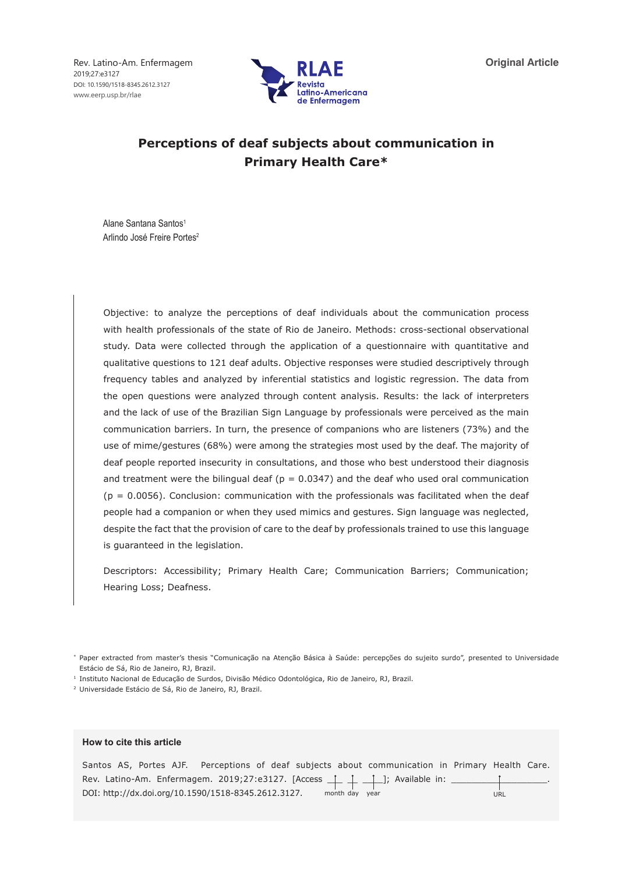Rev. Latino-Am. Enfermagem 2019;27:e3127 DOI: 10.1590/1518-8345.2612.3127 www.eerp.usp.br/rlae



# **Perceptions of deaf subjects about communication in Primary Health Care\***

Alane Santana Santos1 Arlindo José Freire Portes<sup>2</sup>

Objective: to analyze the perceptions of deaf individuals about the communication process with health professionals of the state of Rio de Janeiro. Methods: cross-sectional observational study. Data were collected through the application of a questionnaire with quantitative and qualitative questions to 121 deaf adults. Objective responses were studied descriptively through frequency tables and analyzed by inferential statistics and logistic regression. The data from the open questions were analyzed through content analysis. Results: the lack of interpreters and the lack of use of the Brazilian Sign Language by professionals were perceived as the main communication barriers. In turn, the presence of companions who are listeners (73%) and the use of mime/gestures (68%) were among the strategies most used by the deaf. The majority of deaf people reported insecurity in consultations, and those who best understood their diagnosis and treatment were the bilingual deaf ( $p = 0.0347$ ) and the deaf who used oral communication  $(p = 0.0056)$ . Conclusion: communication with the professionals was facilitated when the deaf people had a companion or when they used mimics and gestures. Sign language was neglected, despite the fact that the provision of care to the deaf by professionals trained to use this language is guaranteed in the legislation.

Descriptors: Accessibility; Primary Health Care; Communication Barriers; Communication; Hearing Loss; Deafness.

<sup>1</sup> Instituto Nacional de Educação de Surdos, Divisão Médico Odontológica, Rio de Janeiro, RJ, Brazil.

<sup>2</sup> Universidade Estácio de Sá, Rio de Janeiro, RJ, Brazil.

#### **How to cite this article**

|  |                                                     |  |                | Santos AS, Portes AJF. Perceptions of deaf subjects about communication in Primary Health Care.     |     |  |
|--|-----------------------------------------------------|--|----------------|-----------------------------------------------------------------------------------------------------|-----|--|
|  |                                                     |  |                | Rev. Latino-Am. Enfermagem. 2019;27:e3127. [Access $\perp$ $\perp$ $\perp$ $\perp$ ]; Available in: |     |  |
|  | DOI: http://dx.doi.org/10.1590/1518-8345.2612.3127. |  | month day year |                                                                                                     | URL |  |

<sup>\*</sup> Paper extracted from master's thesis "Comunicação na Atenção Básica à Saúde: percepções do sujeito surdo", presented to Universidade Estácio de Sá, Rio de Janeiro, RJ, Brazil.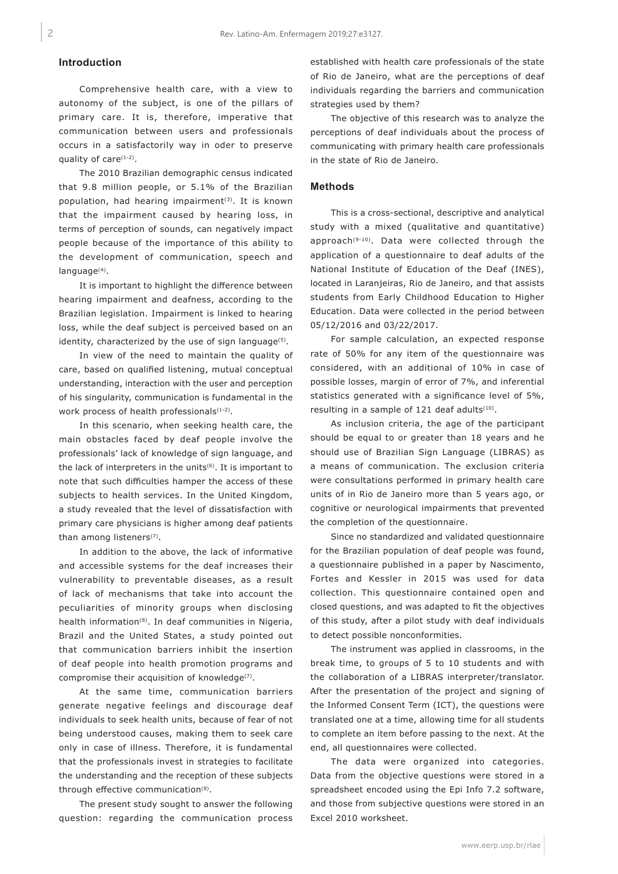## **Introduction**

Comprehensive health care, with a view to autonomy of the subject, is one of the pillars of primary care. It is, therefore, imperative that communication between users and professionals occurs in a satisfactorily way in oder to preserve quality of care(1-2).

The 2010 Brazilian demographic census indicated that 9.8 million people, or 5.1% of the Brazilian population, had hearing impairment<sup>(3)</sup>. It is known that the impairment caused by hearing loss, in terms of perception of sounds, can negatively impact people because of the importance of this ability to the development of communication, speech and language<sup>(4)</sup>.

It is important to highlight the difference between hearing impairment and deafness, according to the Brazilian legislation. Impairment is linked to hearing loss, while the deaf subject is perceived based on an identity, characterized by the use of sign language<sup>(5)</sup>.

In view of the need to maintain the quality of care, based on qualified listening, mutual conceptual understanding, interaction with the user and perception of his singularity, communication is fundamental in the work process of health professionals(1-2).

In this scenario, when seeking health care, the main obstacles faced by deaf people involve the professionals' lack of knowledge of sign language, and the lack of interpreters in the units<sup>(6)</sup>. It is important to note that such difficulties hamper the access of these subjects to health services. In the United Kingdom, a study revealed that the level of dissatisfaction with primary care physicians is higher among deaf patients than among listeners<sup>(7)</sup>.

In addition to the above, the lack of informative and accessible systems for the deaf increases their vulnerability to preventable diseases, as a result of lack of mechanisms that take into account the peculiarities of minority groups when disclosing health information<sup>(8)</sup>. In deaf communities in Nigeria, Brazil and the United States, a study pointed out that communication barriers inhibit the insertion of deaf people into health promotion programs and compromise their acquisition of knowledge<sup>(7)</sup>.

At the same time, communication barriers generate negative feelings and discourage deaf individuals to seek health units, because of fear of not being understood causes, making them to seek care only in case of illness. Therefore, it is fundamental that the professionals invest in strategies to facilitate the understanding and the reception of these subjects through effective communication<sup>(8)</sup>.

The present study sought to answer the following question: regarding the communication process established with health care professionals of the state of Rio de Janeiro, what are the perceptions of deaf individuals regarding the barriers and communication strategies used by them?

The objective of this research was to analyze the perceptions of deaf individuals about the process of communicating with primary health care professionals in the state of Rio de Janeiro.

### **Methods**

This is a cross-sectional, descriptive and analytical study with a mixed (qualitative and quantitative) approach(9-10). Data were collected through the application of a questionnaire to deaf adults of the National Institute of Education of the Deaf (INES), located in Laranjeiras, Rio de Janeiro, and that assists students from Early Childhood Education to Higher Education. Data were collected in the period between 05/12/2016 and 03/22/2017.

For sample calculation, an expected response rate of 50% for any item of the questionnaire was considered, with an additional of 10% in case of possible losses, margin of error of 7%, and inferential statistics generated with a significance level of 5%, resulting in a sample of 121 deaf adults<sup>(10)</sup>.

As inclusion criteria, the age of the participant should be equal to or greater than 18 years and he should use of Brazilian Sign Language (LIBRAS) as a means of communication. The exclusion criteria were consultations performed in primary health care units of in Rio de Janeiro more than 5 years ago, or cognitive or neurological impairments that prevented the completion of the questionnaire.

Since no standardized and validated questionnaire for the Brazilian population of deaf people was found, a questionnaire published in a paper by Nascimento, Fortes and Kessler in 2015 was used for data collection. This questionnaire contained open and closed questions, and was adapted to fit the objectives of this study, after a pilot study with deaf individuals to detect possible nonconformities.

The instrument was applied in classrooms, in the break time, to groups of 5 to 10 students and with the collaboration of a LIBRAS interpreter/translator. After the presentation of the project and signing of the Informed Consent Term (ICT), the questions were translated one at a time, allowing time for all students to complete an item before passing to the next. At the end, all questionnaires were collected.

The data were organized into categories. Data from the objective questions were stored in a spreadsheet encoded using the Epi Info 7.2 software, and those from subjective questions were stored in an Excel 2010 worksheet.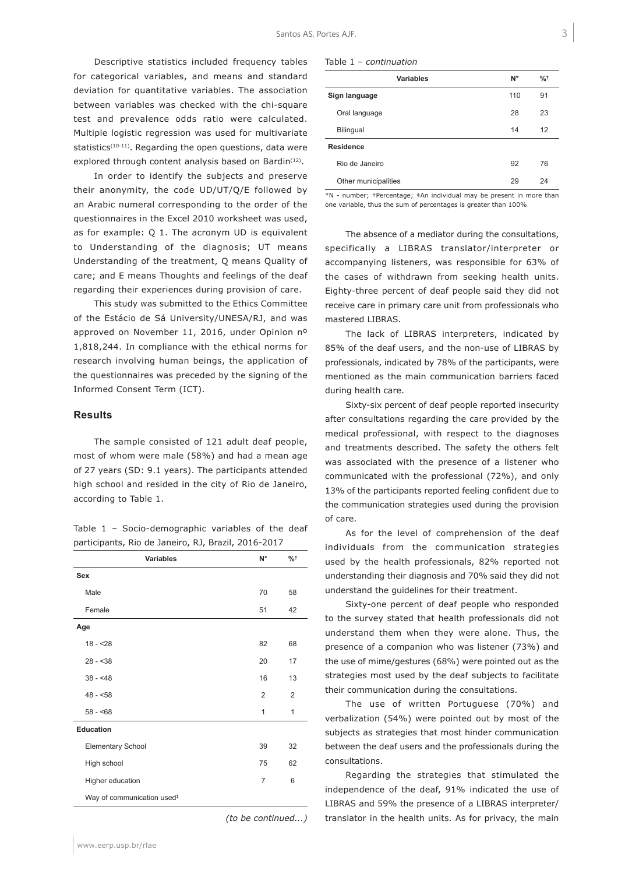Descriptive statistics included frequency tables for categorical variables, and means and standard deviation for quantitative variables. The association between variables was checked with the chi-square test and prevalence odds ratio were calculated. Multiple logistic regression was used for multivariate statistics<sup>(10-11)</sup>. Regarding the open questions, data were explored through content analysis based on Bardin<sup>(12)</sup>.

In order to identify the subjects and preserve their anonymity, the code UD/UT/Q/E followed by an Arabic numeral corresponding to the order of the questionnaires in the Excel 2010 worksheet was used, as for example: Q 1. The acronym UD is equivalent to Understanding of the diagnosis; UT means Understanding of the treatment, Q means Quality of care; and E means Thoughts and feelings of the deaf regarding their experiences during provision of care.

This study was submitted to the Ethics Committee of the Estácio de Sá University/UNESA/RJ, and was approved on November 11, 2016, under Opinion nº 1,818,244. In compliance with the ethical norms for research involving human beings, the application of the questionnaires was preceded by the signing of the Informed Consent Term (ICT).

#### **Results**

The sample consisted of 121 adult deaf people, most of whom were male (58%) and had a mean age of 27 years (SD: 9.1 years). The participants attended high school and resided in the city of Rio de Janeiro, according to Table 1.

Table 1 – Socio-demographic variables of the deaf participants, Rio de Janeiro, RJ, Brazil, 2016-2017

| <b>Variables</b>                       | N*             | $%$ $*$        |
|----------------------------------------|----------------|----------------|
| <b>Sex</b>                             |                |                |
| Male                                   | 70             | 58             |
| Female                                 | 51             | 42             |
| Age                                    |                |                |
| $18 - 28$                              | 82             | 68             |
| $28 - 38$                              | 20             | 17             |
| $38 - 48$                              | 16             | 13             |
| $48 - 58$                              | $\overline{2}$ | $\overline{2}$ |
| $58 - 68$                              | 1              | 1              |
| Education                              |                |                |
| <b>Elementary School</b>               | 39             | 32             |
| High school                            | 75             | 62             |
| Higher education                       | $\overline{7}$ | 6              |
| Way of communication used <sup>#</sup> |                |                |

*(to be continued...)*

| Variables            | N*  | $\frac{9}{6}$ <sup>+</sup> |
|----------------------|-----|----------------------------|
| Sign language        | 110 | 91                         |
| Oral language        | 28  | 23                         |
| Bilingual            | 14  | 12                         |
| <b>Residence</b>     |     |                            |
| Rio de Janeiro       | 92  | 76                         |
| Other municipalities | 29  | 24                         |

\*N - number; †Percentage; ‡An individual may be present in more than one variable, thus the sum of percentages is greater than 100%

The absence of a mediator during the consultations, specifically a LIBRAS translator/interpreter or accompanying listeners, was responsible for 63% of the cases of withdrawn from seeking health units. Eighty-three percent of deaf people said they did not receive care in primary care unit from professionals who mastered LIBRAS.

The lack of LIBRAS interpreters, indicated by 85% of the deaf users, and the non-use of LIBRAS by professionals, indicated by 78% of the participants, were mentioned as the main communication barriers faced during health care.

Sixty-six percent of deaf people reported insecurity after consultations regarding the care provided by the medical professional, with respect to the diagnoses and treatments described. The safety the others felt was associated with the presence of a listener who communicated with the professional (72%), and only 13% of the participants reported feeling confident due to the communication strategies used during the provision of care.

As for the level of comprehension of the deaf individuals from the communication strategies used by the health professionals, 82% reported not understanding their diagnosis and 70% said they did not understand the guidelines for their treatment.

Sixty-one percent of deaf people who responded to the survey stated that health professionals did not understand them when they were alone. Thus, the presence of a companion who was listener (73%) and the use of mime/gestures (68%) were pointed out as the strategies most used by the deaf subjects to facilitate their communication during the consultations.

The use of written Portuguese (70%) and verbalization (54%) were pointed out by most of the subjects as strategies that most hinder communication between the deaf users and the professionals during the consultations.

Regarding the strategies that stimulated the independence of the deaf, 91% indicated the use of LIBRAS and 59% the presence of a LIBRAS interpreter/ translator in the health units. As for privacy, the main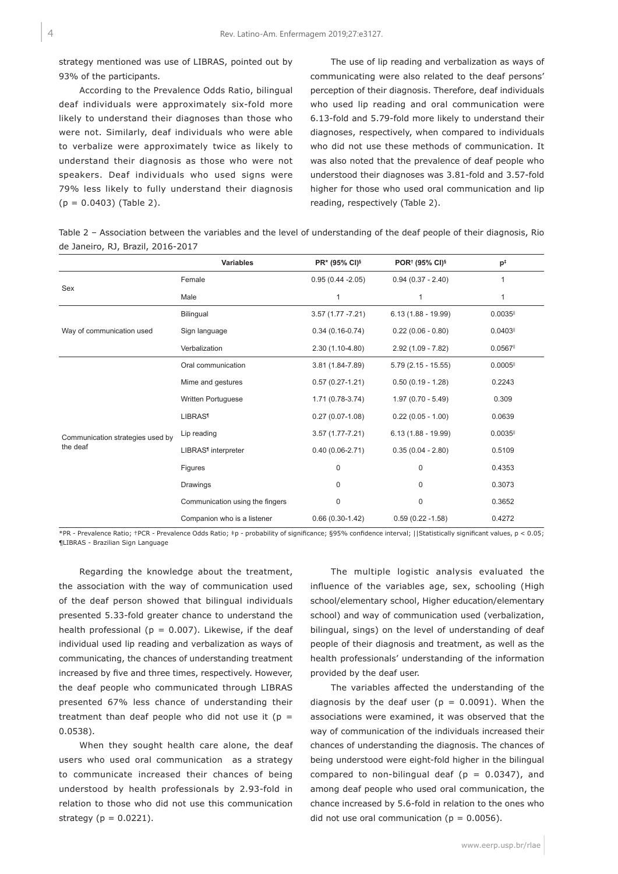strategy mentioned was use of LIBRAS, pointed out by 93% of the participants.

According to the Prevalence Odds Ratio, bilingual deaf individuals were approximately six-fold more likely to understand their diagnoses than those who were not. Similarly, deaf individuals who were able to verbalize were approximately twice as likely to understand their diagnosis as those who were not speakers. Deaf individuals who used signs were 79% less likely to fully understand their diagnosis  $(p = 0.0403)$  (Table 2).

The use of lip reading and verbalization as ways of communicating were also related to the deaf persons' perception of their diagnosis. Therefore, deaf individuals who used lip reading and oral communication were 6.13-fold and 5.79-fold more likely to understand their diagnoses, respectively, when compared to individuals who did not use these methods of communication. It was also noted that the prevalence of deaf people who understood their diagnoses was 3.81-fold and 3.57-fold higher for those who used oral communication and lip reading, respectively (Table 2).

Table 2 – Association between the variables and the level of understanding of the deaf people of their diagnosis, Rio de Janeiro, RJ, Brazil, 2016-2017

|                                  | <b>Variables</b>                | PR* (95% CI)§       | POR <sup>†</sup> (95% CI) <sup>§</sup> | $p^{\ddagger}$         |
|----------------------------------|---------------------------------|---------------------|----------------------------------------|------------------------|
| Sex                              | Female                          | $0.95(0.44 - 2.05)$ | $0.94(0.37 - 2.40)$                    | $\mathbf{1}$           |
|                                  | Male                            |                     | 1                                      | 1                      |
|                                  | Bilingual                       | $3.57(1.77 - 7.21)$ | $6.13(1.88 - 19.99)$                   | $0.0035$ <sup>II</sup> |
| Way of communication used        | Sign language                   | $0.34(0.16-0.74)$   | $0.22(0.06 - 0.80)$                    | 0.0403                 |
|                                  | Verbalization                   | $2.30(1.10-4.80)$   | $2.92(1.09 - 7.82)$                    | $0.0567$ <sup>II</sup> |
|                                  | Oral communication              | 3.81 (1.84-7.89)    | $5.79(2.15 - 15.55)$                   | $0.0005$ <sup>II</sup> |
|                                  | Mime and gestures               | $0.57(0.27 - 1.21)$ | $0.50(0.19 - 1.28)$                    | 0.2243                 |
|                                  | Written Portuguese              | $1.71(0.78-3.74)$   | $1.97(0.70 - 5.49)$                    | 0.309                  |
|                                  | <b>LIBRAS<sup>1</sup></b>       | $0.27(0.07-1.08)$   | $0.22(0.05 - 1.00)$                    | 0.0639                 |
| Communication strategies used by | Lip reading                     | $3.57(1.77 - 7.21)$ | $6.13(1.88 - 19.99)$                   | $0.0035$ <sup>II</sup> |
| the deaf                         | LIBRAS <sup>1</sup> interpreter | $0.40(0.06-2.71)$   | $0.35(0.04 - 2.80)$                    | 0.5109                 |
|                                  | Figures                         | $\mathbf 0$         | $\mathbf 0$                            | 0.4353                 |
|                                  | Drawings                        | 0                   | $\mathbf 0$                            | 0.3073                 |
|                                  | Communication using the fingers | 0                   | $\mathbf 0$                            | 0.3652                 |
|                                  | Companion who is a listener     | $0.66(0.30-1.42)$   | $0.59(0.22 - 1.58)$                    | 0.4272                 |

\*PR - Prevalence Ratio; †PCR - Prevalence Odds Ratio; ‡p - probability of significance; §95% confidence interval; ||Statistically significant values, p < 0.05; ¶LIBRAS - Brazilian Sign Language

Regarding the knowledge about the treatment, the association with the way of communication used of the deaf person showed that bilingual individuals presented 5.33-fold greater chance to understand the health professional ( $p = 0.007$ ). Likewise, if the deaf individual used lip reading and verbalization as ways of communicating, the chances of understanding treatment increased by five and three times, respectively. However, the deaf people who communicated through LIBRAS presented 67% less chance of understanding their treatment than deaf people who did not use it ( $p =$ 0.0538).

When they sought health care alone, the deaf users who used oral communication as a strategy to communicate increased their chances of being understood by health professionals by 2.93-fold in relation to those who did not use this communication strategy ( $p = 0.0221$ ).

The multiple logistic analysis evaluated the influence of the variables age, sex, schooling (High school/elementary school, Higher education/elementary school) and way of communication used (verbalization, bilingual, sings) on the level of understanding of deaf people of their diagnosis and treatment, as well as the health professionals' understanding of the information provided by the deaf user.

The variables affected the understanding of the diagnosis by the deaf user ( $p = 0.0091$ ). When the associations were examined, it was observed that the way of communication of the individuals increased their chances of understanding the diagnosis. The chances of being understood were eight-fold higher in the bilingual compared to non-bilingual deaf ( $p = 0.0347$ ), and among deaf people who used oral communication, the chance increased by 5.6-fold in relation to the ones who did not use oral communication ( $p = 0.0056$ ).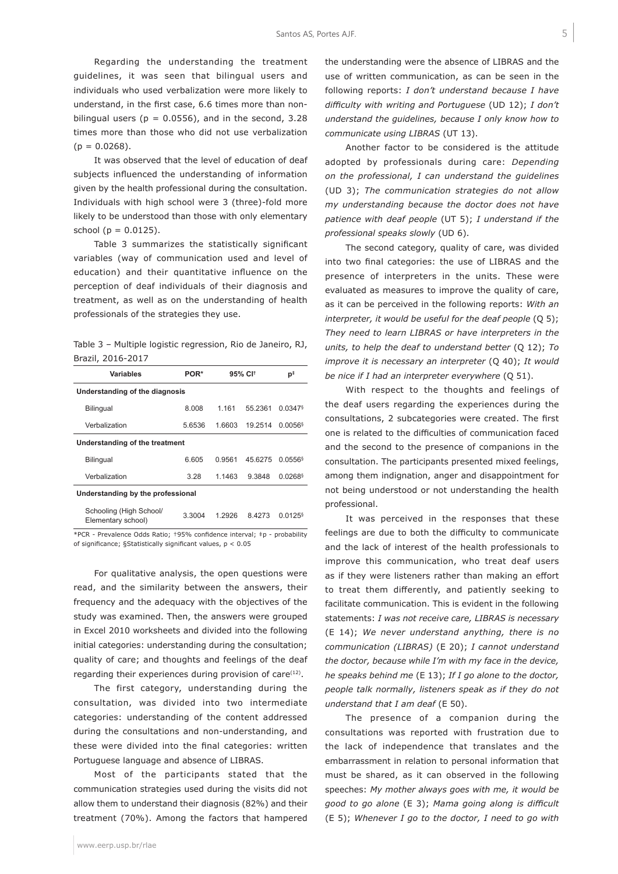Regarding the understanding the treatment guidelines, it was seen that bilingual users and individuals who used verbalization were more likely to understand, in the first case, 6.6 times more than nonbilingual users ( $p = 0.0556$ ), and in the second, 3.28 times more than those who did not use verbalization  $(p = 0.0268)$ .

It was observed that the level of education of deaf subjects influenced the understanding of information given by the health professional during the consultation. Individuals with high school were 3 (three)-fold more likely to be understood than those with only elementary school ( $p = 0.0125$ ).

Table 3 summarizes the statistically significant variables (way of communication used and level of education) and their quantitative influence on the perception of deaf individuals of their diagnosis and treatment, as well as on the understanding of health professionals of the strategies they use.

Table 3 – Multiple logistic regression, Rio de Janeiro, RJ, Brazil, 2016-2017

| <b>Variables</b>                              | POR*   | 95% CI <sup>+</sup> |         | р‡                    |  |  |
|-----------------------------------------------|--------|---------------------|---------|-----------------------|--|--|
| Understanding of the diagnosis                |        |                     |         |                       |  |  |
| <b>Bilingual</b>                              | 8.008  | 1 1 6 1             | 55 2361 | $0.0347$ <sup>§</sup> |  |  |
| Verbalization                                 | 5.6536 | 1.6603              | 19.2514 | 0.0056                |  |  |
| Understanding of the treatment                |        |                     |         |                       |  |  |
| <b>Bilingual</b>                              | 6.605  | 0.9561              | 45.6275 | $0.0556$ <sup>§</sup> |  |  |
| Verbalization                                 | 3.28   | 1.1463              | 9.3848  | $0.0268$ <sup>§</sup> |  |  |
| Understanding by the professional             |        |                     |         |                       |  |  |
| Schooling (High School/<br>Elementary school) | 3.3004 | 1 2926              | 84273   | $0.0125$ <sup>§</sup> |  |  |

\*PCR - Prevalence Odds Ratio; †95% confidence interval; ‡p - probability of significance; §Statistically significant values, p < 0.05

For qualitative analysis, the open questions were read, and the similarity between the answers, their frequency and the adequacy with the objectives of the study was examined. Then, the answers were grouped in Excel 2010 worksheets and divided into the following initial categories: understanding during the consultation; quality of care; and thoughts and feelings of the deaf regarding their experiences during provision of care<sup>(12)</sup>.

The first category, understanding during the consultation, was divided into two intermediate categories: understanding of the content addressed during the consultations and non-understanding, and these were divided into the final categories: written Portuguese language and absence of LIBRAS.

Most of the participants stated that the communication strategies used during the visits did not allow them to understand their diagnosis (82%) and their treatment (70%). Among the factors that hampered

www.eerp.usp.br/rlae

the understanding were the absence of LIBRAS and the use of written communication, as can be seen in the following reports: *I don't understand because I have difficulty with writing and Portuguese* (UD 12); *I don't understand the guidelines, because I only know how to communicate using LIBRAS* (UT 13).

Another factor to be considered is the attitude adopted by professionals during care: *Depending on the professional, I can understand the guidelines* (UD 3); *The communication strategies do not allow my understanding because the doctor does not have patience with deaf people* (UT 5); *I understand if the professional speaks slowly* (UD 6).

The second category, quality of care, was divided into two final categories: the use of LIBRAS and the presence of interpreters in the units. These were evaluated as measures to improve the quality of care, as it can be perceived in the following reports: *With an interpreter, it would be useful for the deaf people* (Q 5); *They need to learn LIBRAS or have interpreters in the units, to help the deaf to understand better* (Q 12); *To improve it is necessary an interpreter* (Q 40); *It would be nice if I had an interpreter everywhere* (Q 51).

With respect to the thoughts and feelings of the deaf users regarding the experiences during the consultations, 2 subcategories were created. The first one is related to the difficulties of communication faced and the second to the presence of companions in the consultation. The participants presented mixed feelings, among them indignation, anger and disappointment for not being understood or not understanding the health professional.

It was perceived in the responses that these feelings are due to both the difficulty to communicate and the lack of interest of the health professionals to improve this communication, who treat deaf users as if they were listeners rather than making an effort to treat them differently, and patiently seeking to facilitate communication. This is evident in the following statements: *I was not receive care, LIBRAS is necessary* (E 14); *We never understand anything, there is no communication (LIBRAS)* (E 20); *I cannot understand the doctor, because while I'm with my face in the device, he speaks behind me* (E 13); *If I go alone to the doctor, people talk normally, listeners speak as if they do not understand that I am deaf* (E 50).

The presence of a companion during the consultations was reported with frustration due to the lack of independence that translates and the embarrassment in relation to personal information that must be shared, as it can observed in the following speeches: *My mother always goes with me, it would be good to go alone* (E 3); *Mama going along is difficult* (E 5); *Whenever I go to the doctor, I need to go with*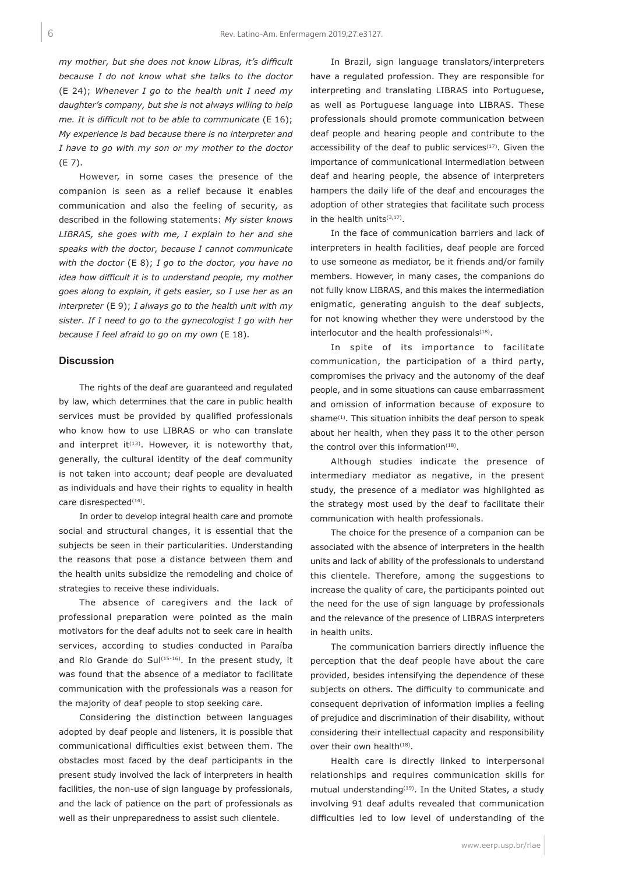*my mother, but she does not know Libras, it's difficult because I do not know what she talks to the doctor* (E 24); *Whenever I go to the health unit I need my daughter's company, but she is not always willing to help me. It is difficult not to be able to communicate* (E 16); *My experience is bad because there is no interpreter and I have to go with my son or my mother to the doctor* (E 7).

However, in some cases the presence of the companion is seen as a relief because it enables communication and also the feeling of security, as described in the following statements: *My sister knows LIBRAS, she goes with me, I explain to her and she speaks with the doctor, because I cannot communicate with the doctor* (E 8); *I go to the doctor, you have no idea how difficult it is to understand people, my mother goes along to explain, it gets easier, so I use her as an interpreter* (E 9); *I always go to the health unit with my sister. If I need to go to the gynecologist I go with her because I feel afraid to go on my own* (E 18).

#### **Discussion**

The rights of the deaf are guaranteed and regulated by law, which determines that the care in public health services must be provided by qualified professionals who know how to use LIBRAS or who can translate and interpret it<sup> $(13)$ </sup>. However, it is noteworthy that, generally, the cultural identity of the deaf community is not taken into account; deaf people are devaluated as individuals and have their rights to equality in health care disrespected<sup>(14)</sup>.

In order to develop integral health care and promote social and structural changes, it is essential that the subjects be seen in their particularities. Understanding the reasons that pose a distance between them and the health units subsidize the remodeling and choice of strategies to receive these individuals.

The absence of caregivers and the lack of professional preparation were pointed as the main motivators for the deaf adults not to seek care in health services, according to studies conducted in Paraíba and Rio Grande do Sul(15-16). In the present study, it was found that the absence of a mediator to facilitate communication with the professionals was a reason for the majority of deaf people to stop seeking care.

Considering the distinction between languages adopted by deaf people and listeners, it is possible that communicational difficulties exist between them. The obstacles most faced by the deaf participants in the present study involved the lack of interpreters in health facilities, the non-use of sign language by professionals, and the lack of patience on the part of professionals as well as their unpreparedness to assist such clientele.

In Brazil, sign language translators/interpreters have a regulated profession. They are responsible for interpreting and translating LIBRAS into Portuguese, as well as Portuguese language into LIBRAS. These professionals should promote communication between deaf people and hearing people and contribute to the accessibility of the deaf to public services $(17)$ . Given the importance of communicational intermediation between deaf and hearing people, the absence of interpreters hampers the daily life of the deaf and encourages the adoption of other strategies that facilitate such process in the health units<sup>(3,17)</sup>.

In the face of communication barriers and lack of interpreters in health facilities, deaf people are forced to use someone as mediator, be it friends and/or family members. However, in many cases, the companions do not fully know LIBRAS, and this makes the intermediation enigmatic, generating anguish to the deaf subjects, for not knowing whether they were understood by the interlocutor and the health professionals<sup>(18)</sup>.

In spite of its importance to facilitate communication, the participation of a third party, compromises the privacy and the autonomy of the deaf people, and in some situations can cause embarrassment and omission of information because of exposure to shame<sup>(1)</sup>. This situation inhibits the deaf person to speak about her health, when they pass it to the other person the control over this information<sup>(18)</sup>.

Although studies indicate the presence of intermediary mediator as negative, in the present study, the presence of a mediator was highlighted as the strategy most used by the deaf to facilitate their communication with health professionals.

The choice for the presence of a companion can be associated with the absence of interpreters in the health units and lack of ability of the professionals to understand this clientele. Therefore, among the suggestions to increase the quality of care, the participants pointed out the need for the use of sign language by professionals and the relevance of the presence of LIBRAS interpreters in health units.

The communication barriers directly influence the perception that the deaf people have about the care provided, besides intensifying the dependence of these subjects on others. The difficulty to communicate and consequent deprivation of information implies a feeling of prejudice and discrimination of their disability, without considering their intellectual capacity and responsibility over their own health<sup>(18)</sup>.

Health care is directly linked to interpersonal relationships and requires communication skills for mutual understanding $(19)$ . In the United States, a study involving 91 deaf adults revealed that communication difficulties led to low level of understanding of the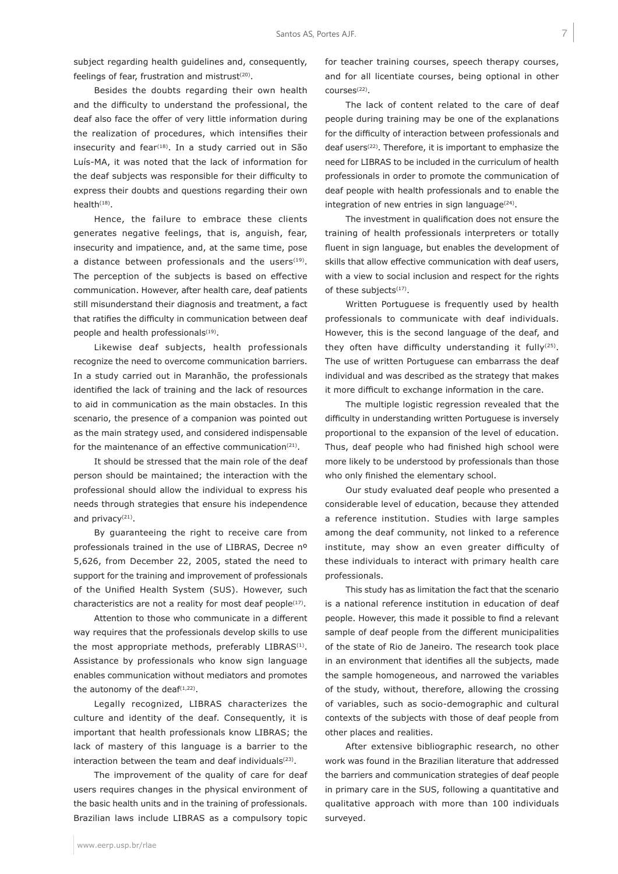subject regarding health guidelines and, consequently, feelings of fear, frustration and mistrust $(20)$ .

Besides the doubts regarding their own health and the difficulty to understand the professional, the deaf also face the offer of very little information during the realization of procedures, which intensifies their insecurity and fear<sup>(18)</sup>. In a study carried out in São Luís-MA, it was noted that the lack of information for the deaf subjects was responsible for their difficulty to express their doubts and questions regarding their own health $(18)$ .

Hence, the failure to embrace these clients generates negative feelings, that is, anguish, fear, insecurity and impatience, and, at the same time, pose a distance between professionals and the users $(19)$ . The perception of the subjects is based on effective communication. However, after health care, deaf patients still misunderstand their diagnosis and treatment, a fact that ratifies the difficulty in communication between deaf people and health professionals<sup>(19)</sup>.

Likewise deaf subjects, health professionals recognize the need to overcome communication barriers. In a study carried out in Maranhão, the professionals identified the lack of training and the lack of resources to aid in communication as the main obstacles. In this scenario, the presence of a companion was pointed out as the main strategy used, and considered indispensable for the maintenance of an effective communication<sup>(21)</sup>.

It should be stressed that the main role of the deaf person should be maintained; the interaction with the professional should allow the individual to express his needs through strategies that ensure his independence and privacy<sup>(21)</sup>.

By guaranteeing the right to receive care from professionals trained in the use of LIBRAS, Decree nº 5,626, from December 22, 2005, stated the need to support for the training and improvement of professionals of the Unified Health System (SUS). However, such characteristics are not a reality for most deaf people<sup>(17)</sup>.

Attention to those who communicate in a different way requires that the professionals develop skills to use the most appropriate methods, preferably LIBRAS<sup>(1)</sup>. Assistance by professionals who know sign language enables communication without mediators and promotes the autonomy of the deaf $(1,22)$ .

Legally recognized, LIBRAS characterizes the culture and identity of the deaf. Consequently, it is important that health professionals know LIBRAS; the lack of mastery of this language is a barrier to the interaction between the team and deaf individuals<sup>(23)</sup>.

The improvement of the quality of care for deaf users requires changes in the physical environment of the basic health units and in the training of professionals. Brazilian laws include LIBRAS as a compulsory topic for teacher training courses, speech therapy courses, and for all licentiate courses, being optional in other  $r$  $\Omega$ urs $\rho$ s $(22)$ 

The lack of content related to the care of deaf people during training may be one of the explanations for the difficulty of interaction between professionals and deaf users<sup>(22)</sup>. Therefore, it is important to emphasize the need for LIBRAS to be included in the curriculum of health professionals in order to promote the communication of deaf people with health professionals and to enable the integration of new entries in sign language $(24)$ .

The investment in qualification does not ensure the training of health professionals interpreters or totally fluent in sign language, but enables the development of skills that allow effective communication with deaf users, with a view to social inclusion and respect for the rights of these subjects<sup>(17)</sup>.

Written Portuguese is frequently used by health professionals to communicate with deaf individuals. However, this is the second language of the deaf, and they often have difficulty understanding it fully<sup>(25)</sup>. The use of written Portuguese can embarrass the deaf individual and was described as the strategy that makes it more difficult to exchange information in the care.

The multiple logistic regression revealed that the difficulty in understanding written Portuguese is inversely proportional to the expansion of the level of education. Thus, deaf people who had finished high school were more likely to be understood by professionals than those who only finished the elementary school.

Our study evaluated deaf people who presented a considerable level of education, because they attended a reference institution. Studies with large samples among the deaf community, not linked to a reference institute, may show an even greater difficulty of these individuals to interact with primary health care professionals.

This study has as limitation the fact that the scenario is a national reference institution in education of deaf people. However, this made it possible to find a relevant sample of deaf people from the different municipalities of the state of Rio de Janeiro. The research took place in an environment that identifies all the subjects, made the sample homogeneous, and narrowed the variables of the study, without, therefore, allowing the crossing of variables, such as socio-demographic and cultural contexts of the subjects with those of deaf people from other places and realities.

After extensive bibliographic research, no other work was found in the Brazilian literature that addressed the barriers and communication strategies of deaf people in primary care in the SUS, following a quantitative and qualitative approach with more than 100 individuals surveyed.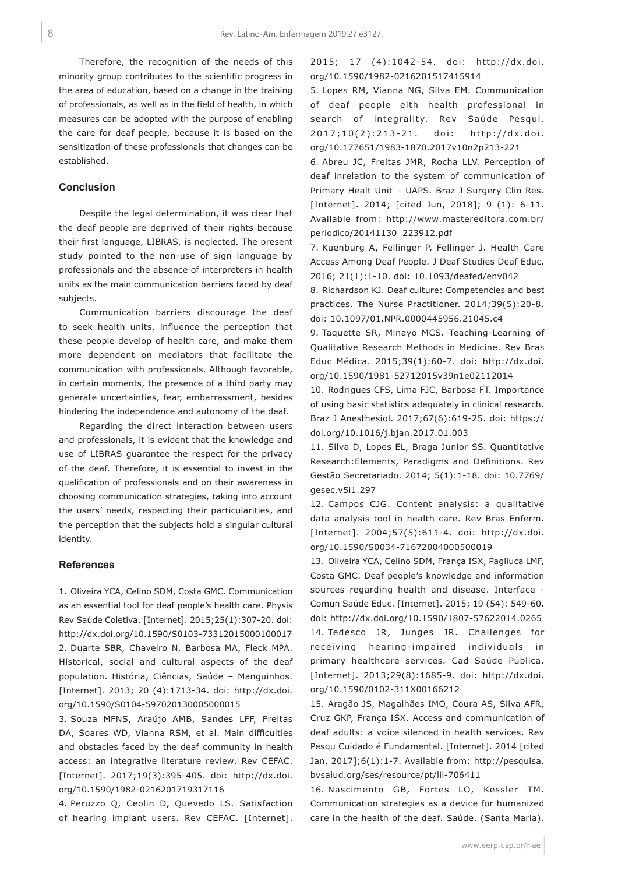Therefore, the recognition of the needs of this minority group contributes to the scientific progress in the area of education, based on a change in the training of professionals, as well as in the field of health, in which measures can be adopted with the purpose of enabling the care for deaf people, because it is based on the sensitization of these professionals that changes can be established.

#### **Conclusion**

Despite the legal determination, it was clear that the deaf people are deprived of their rights because their first language, LIBRAS, is neglected. The present study pointed to the non-use of sign language by professionals and the absence of interpreters in health units as the main communication barriers faced by deaf subjects.

Communication barriers discourage the deaf to seek health units, influence the perception that these people develop of health care, and make them more dependent on mediators that facilitate the communication with professionals. Although favorable, in certain moments, the presence of a third party may generate uncertainties, fear, embarrassment, besides hindering the independence and autonomy of the deaf.

Regarding the direct interaction between users and professionals, it is evident that the knowledge and use of LIBRAS guarantee the respect for the privacy of the deaf. Therefore, it is essential to invest in the qualification of professionals and on their awareness in choosing communication strategies, taking into account the users' needs, respecting their particularities, and the perception that the subjects hold a singular cultural identity.

#### **References**

1. Oliveira YCA, Celino SDM, Costa GMC. Communication as an essential tool for deaf people's health care. Physis Rev Saúde Coletiva. [Internet]. 2015;25(1):307-20. doi: http://dx.doi.org/10.1590/S0103-73312015000100017 2. Duarte SBR, Chaveiro N, Barbosa MA, Fleck MPA. Historical, social and cultural aspects of the deaf population. História, Ciências, Saúde – Manguinhos. [Internet]. 2013; 20 (4):1713-34. doi: http://dx.doi. org/10.1590/S0104-597020130005000015

3. Souza MFNS, Araújo AMB, Sandes LFF, Freitas DA, Soares WD, Vianna RSM, et al. Main difficulties and obstacles faced by the deaf community in health access: an integrative literature review. Rev CEFAC. [Internet]. 2017;19(3):395-405. doi: http://dx.doi. org/10.1590/1982-0216201719317116

4. Peruzzo Q, Ceolin D, Quevedo LS. Satisfaction of hearing implant users. Rev CEFAC. [Internet].

2015; 17 (4):1042-54. doi: http://dx.doi. org/10.1590/1982-0216201517415914

5. Lopes RM, Vianna NG, Silva EM. Communication of deaf people eith health professional in search of integrality. Rev Saúde Pesqui. 2017;10(2):213-21. doi: http://dx.doi. org/10.177651/1983-1870.2017v10n2p213-221

6. Abreu JC, Freitas JMR, Rocha LLV. Perception of deaf inrelation to the system of communication of Primary Healt Unit – UAPS. Braz J Surgery Clin Res. [Internet]. 2014; [cited Jun, 2018]; 9 (1): 6-11. Available from: http://www.mastereditora.com.br/ periodico/20141130\_223912.pdf

7. Kuenburg A, Fellinger P, Fellinger J. Health Care Access Among Deaf People. J Deaf Studies Deaf Educ. 2016; 21(1):1-10. doi: 10.1093/deafed/env042

8. Richardson KJ. Deaf culture: Competencies and best practices. The Nurse Practitioner. 2014;39(5):20-8. doi: 10.1097/01.NPR.0000445956.21045.c4

9. Taquette SR, Minayo MCS. Teaching-Learning of Qualitative Research Methods in Medicine. Rev Bras Educ Médica. 2015;39(1):60-7. doi: http://dx.doi. org/10.1590/1981-52712015v39n1e02112014

10. Rodrigues CFS, Lima FJC, Barbosa FT. Importance of using basic statistics adequately in clinical research. Braz J Anesthesiol. 2017;67(6):619-25. doi: https:// doi.org/10.1016/j.bjan.2017.01.003

11. Silva D, Lopes EL, Braga Junior SS. Quantitative Research:Elements, Paradigms and Definitions. Rev Gestão Secretariado. 2014; 5(1):1-18. doi: 10.7769/ gesec.v5i1.297

12. Campos CJG. Content analysis: a qualitative data analysis tool in health care. Rev Bras Enferm. [Internet]. 2004;57(5):611-4. doi: http://dx.doi. org/10.1590/S0034-71672004000500019

13. Oliveira YCA, Celino SDM, França ISX, Pagliuca LMF, Costa GMC. Deaf people's knowledge and information sources regarding health and disease. Interface - Comun Saúde Educ. [Internet]. 2015; 19 (54): 549-60. doi: http://dx.doi.org/10.1590/1807-57622014.0265 14. Tedesco JR, Junges JR. Challenges for receiving hearing-impaired individuals in primary healthcare services. Cad Saúde Pública. [Internet]. 2013;29(8):1685-9. doi: http://dx.doi. org/10.1590/0102-311X00166212

15. Aragão JS, Magalhães IMO, Coura AS, Silva AFR, Cruz GKP, França ISX. Access and communication of deaf adults: a voice silenced in health services. Rev Pesqu Cuidado é Fundamental. [Internet]. 2014 [cited Jan, 2017];6(1):1-7. Available from: http://pesquisa. bvsalud.org/ses/resource/pt/lil-706411

16. Nascimento GB, Fortes LO, Kessler TM. Communication strategies as a device for humanized care in the health of the deaf. Saúde. (Santa Maria).